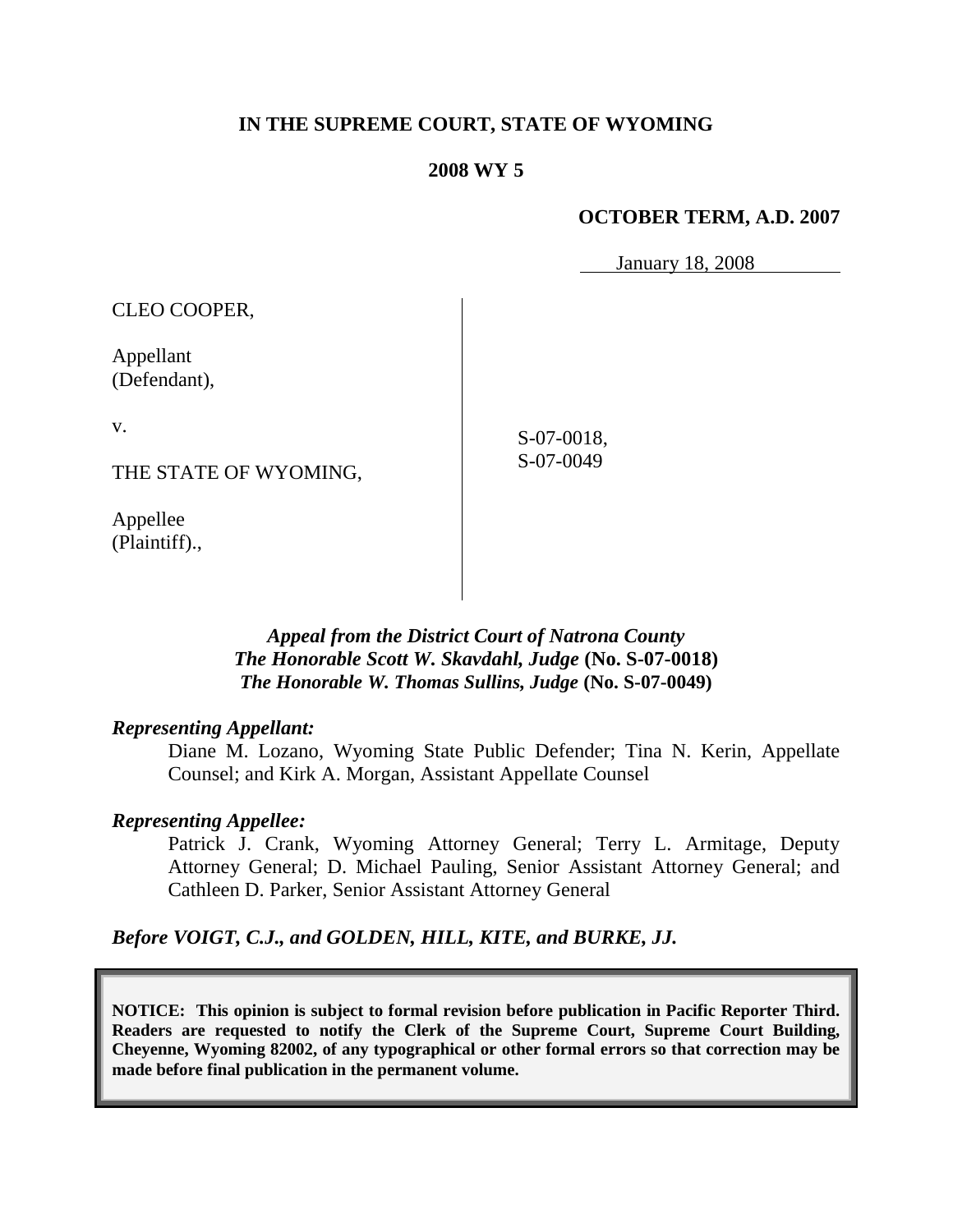## **IN THE SUPREME COURT, STATE OF WYOMING**

#### **2008 WY 5**

## **OCTOBER TERM, A.D. 2007**

January 18, 2008

| CLEO COOPER,              |            |
|---------------------------|------------|
| Appellant<br>(Defendant), |            |
| V.                        | S-07-0018, |
| THE STATE OF WYOMING,     | S-07-0049  |
| Appellee                  |            |

*Appeal from the District Court of Natrona County The Honorable Scott W. Skavdahl, Judge* **(No. S-07-0018)** *The Honorable W. Thomas Sullins, Judge* **(No. S-07-0049)**

#### *Representing Appellant:*

(Plaintiff).,

Diane M. Lozano, Wyoming State Public Defender; Tina N. Kerin, Appellate Counsel; and Kirk A. Morgan, Assistant Appellate Counsel

## *Representing Appellee:*

Patrick J. Crank, Wyoming Attorney General; Terry L. Armitage, Deputy Attorney General; D. Michael Pauling, Senior Assistant Attorney General; and Cathleen D. Parker, Senior Assistant Attorney General

*Before VOIGT, C.J., and GOLDEN, HILL, KITE, and BURKE, JJ.*

**NOTICE: This opinion is subject to formal revision before publication in Pacific Reporter Third. Readers are requested to notify the Clerk of the Supreme Court, Supreme Court Building, Cheyenne, Wyoming 82002, of any typographical or other formal errors so that correction may be made before final publication in the permanent volume.**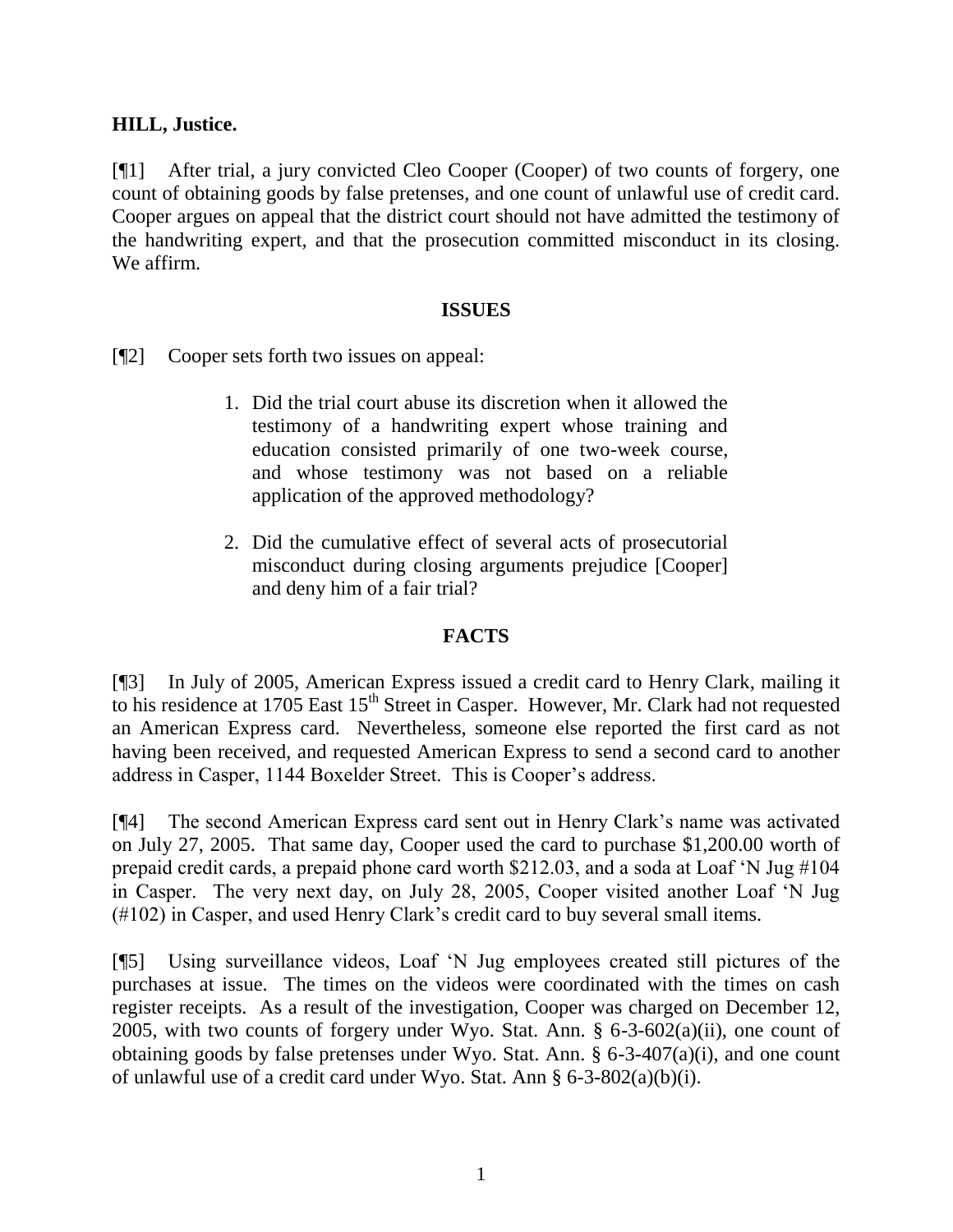# **HILL, Justice.**

[¶1] After trial, a jury convicted Cleo Cooper (Cooper) of two counts of forgery, one count of obtaining goods by false pretenses, and one count of unlawful use of credit card. Cooper argues on appeal that the district court should not have admitted the testimony of the handwriting expert, and that the prosecution committed misconduct in its closing. We affirm.

## **ISSUES**

[¶2] Cooper sets forth two issues on appeal:

- 1. Did the trial court abuse its discretion when it allowed the testimony of a handwriting expert whose training and education consisted primarily of one two-week course, and whose testimony was not based on a reliable application of the approved methodology?
- 2. Did the cumulative effect of several acts of prosecutorial misconduct during closing arguments prejudice [Cooper] and deny him of a fair trial?

# **FACTS**

[¶3] In July of 2005, American Express issued a credit card to Henry Clark, mailing it to his residence at 1705 East 15<sup>th</sup> Street in Casper. However, Mr. Clark had not requested an American Express card. Nevertheless, someone else reported the first card as not having been received, and requested American Express to send a second card to another address in Casper, 1144 Boxelder Street. This is Cooper"s address.

[¶4] The second American Express card sent out in Henry Clark"s name was activated on July 27, 2005. That same day, Cooper used the card to purchase \$1,200.00 worth of prepaid credit cards, a prepaid phone card worth \$212.03, and a soda at Loaf "N Jug #104 in Casper. The very next day, on July 28, 2005, Cooper visited another Loaf "N Jug (#102) in Casper, and used Henry Clark"s credit card to buy several small items.

[¶5] Using surveillance videos, Loaf "N Jug employees created still pictures of the purchases at issue. The times on the videos were coordinated with the times on cash register receipts. As a result of the investigation, Cooper was charged on December 12, 2005, with two counts of forgery under Wyo. Stat. Ann.  $\S$  6-3-602(a)(ii), one count of obtaining goods by false pretenses under Wyo. Stat. Ann. § 6-3-407(a)(i), and one count of unlawful use of a credit card under Wyo. Stat. Ann § 6-3-802(a)(b)(i).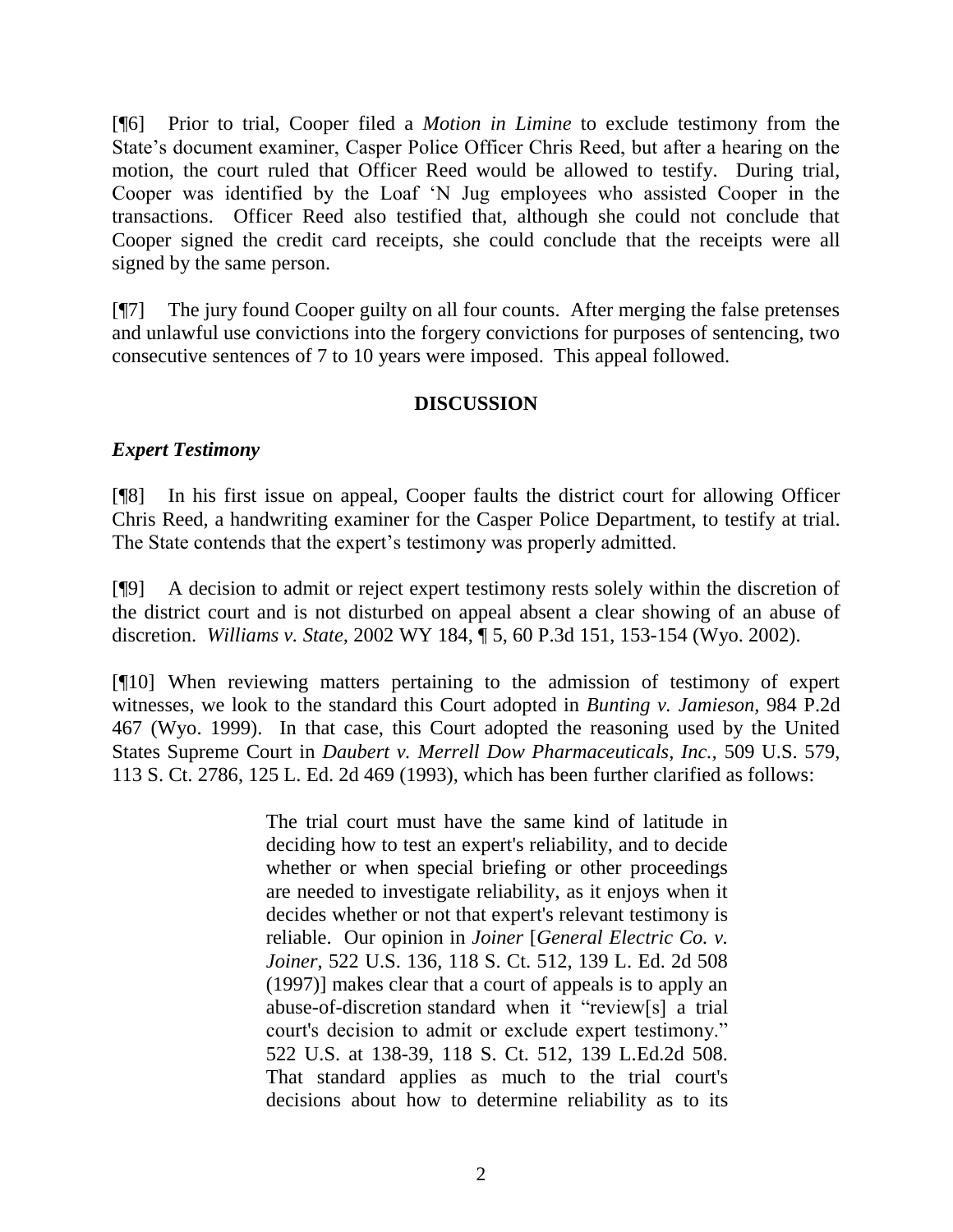[¶6] Prior to trial, Cooper filed a *Motion in Limine* to exclude testimony from the State"s document examiner, Casper Police Officer Chris Reed, but after a hearing on the motion, the court ruled that Officer Reed would be allowed to testify. During trial, Cooper was identified by the Loaf "N Jug employees who assisted Cooper in the transactions. Officer Reed also testified that, although she could not conclude that Cooper signed the credit card receipts, she could conclude that the receipts were all signed by the same person.

[¶7] The jury found Cooper guilty on all four counts. After merging the false pretenses and unlawful use convictions into the forgery convictions for purposes of sentencing, two consecutive sentences of 7 to 10 years were imposed. This appeal followed.

# **DISCUSSION**

## *Expert Testimony*

[¶8] In his first issue on appeal, Cooper faults the district court for allowing Officer Chris Reed, a handwriting examiner for the Casper Police Department, to testify at trial. The State contends that the expert's testimony was properly admitted.

[¶9] A decision to admit or reject expert testimony rests solely within the discretion of the district court and is not disturbed on appeal absent a clear showing of an abuse of discretion. *Williams v. State,* 2002 WY 184, ¶ 5, 60 P.3d 151, 153-154 (Wyo. 2002).

[¶10] When reviewing matters pertaining to the admission of testimony of expert witnesses, we look to the standard this Court adopted in *Bunting v. Jamieson,* 984 P.2d 467 (Wyo. 1999). In that case, this Court adopted the reasoning used by the United States Supreme Court in *Daubert v. Merrell Dow Pharmaceuticals, Inc.,* 509 U.S. 579, 113 S. Ct. 2786, 125 L. Ed. 2d 469 (1993), which has been further clarified as follows:

> The trial court must have the same kind of latitude in deciding how to test an expert's reliability, and to decide whether or when special briefing or other proceedings are needed to investigate reliability, as it enjoys when it decides whether or not that expert's relevant testimony is reliable. Our opinion in *Joiner* [*General Electric Co. v. Joiner*, 522 U.S. 136, 118 S. Ct. 512, 139 L. Ed. 2d 508 (1997)] makes clear that a court of appeals is to apply an abuse-of-discretion standard when it "review[s] a trial court's decision to admit or exclude expert testimony." 522 U.S. at 138-39, 118 S. Ct. 512, 139 L.Ed.2d 508. That standard applies as much to the trial court's decisions about how to determine reliability as to its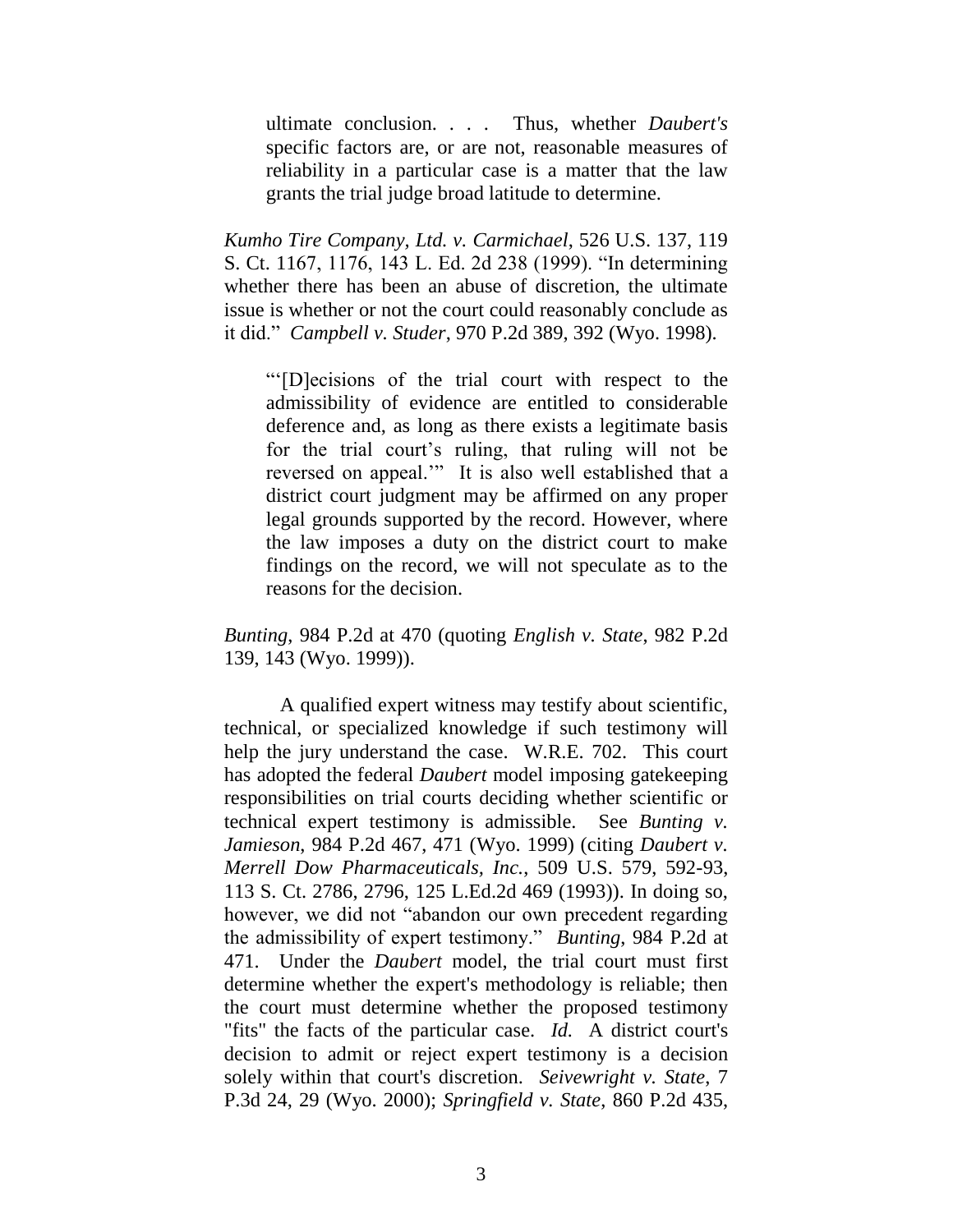ultimate conclusion. . . . Thus, whether *Daubert's* specific factors are, or are not, reasonable measures of reliability in a particular case is a matter that the law grants the trial judge broad latitude to determine.

*Kumho Tire Company, Ltd. v. Carmichael*, 526 U.S. 137, 119 S. Ct. 1167, 1176, 143 L. Ed. 2d 238 (1999). "In determining whether there has been an abuse of discretion, the ultimate issue is whether or not the court could reasonably conclude as it did." *Campbell v. Studer*, 970 P.2d 389, 392 (Wyo. 1998).

""[D]ecisions of the trial court with respect to the admissibility of evidence are entitled to considerable deference and, as long as there exists a legitimate basis for the trial court's ruling, that ruling will not be reversed on appeal."" It is also well established that a district court judgment may be affirmed on any proper legal grounds supported by the record. However, where the law imposes a duty on the district court to make findings on the record, we will not speculate as to the reasons for the decision.

*Bunting*, 984 P.2d at 470 (quoting *English v. State*, 982 P.2d 139, 143 (Wyo. 1999)).

A qualified expert witness may testify about scientific, technical, or specialized knowledge if such testimony will help the jury understand the case. W.R.E. 702. This court has adopted the federal *Daubert* model imposing gatekeeping responsibilities on trial courts deciding whether scientific or technical expert testimony is admissible. See *Bunting v. Jamieson*, 984 P.2d 467, 471 (Wyo. 1999) (citing *Daubert v. Merrell Dow Pharmaceuticals, Inc.*, 509 U.S. 579, 592-93, 113 S. Ct. 2786, 2796, 125 L.Ed.2d 469 (1993)). In doing so, however, we did not "abandon our own precedent regarding the admissibility of expert testimony." *Bunting*, 984 P.2d at 471. Under the *Daubert* model, the trial court must first determine whether the expert's methodology is reliable; then the court must determine whether the proposed testimony "fits" the facts of the particular case. *Id.* A district court's decision to admit or reject expert testimony is a decision solely within that court's discretion. *Seivewright v. State*, 7 P.3d 24, 29 (Wyo. 2000); *Springfield v. State*, 860 P.2d 435,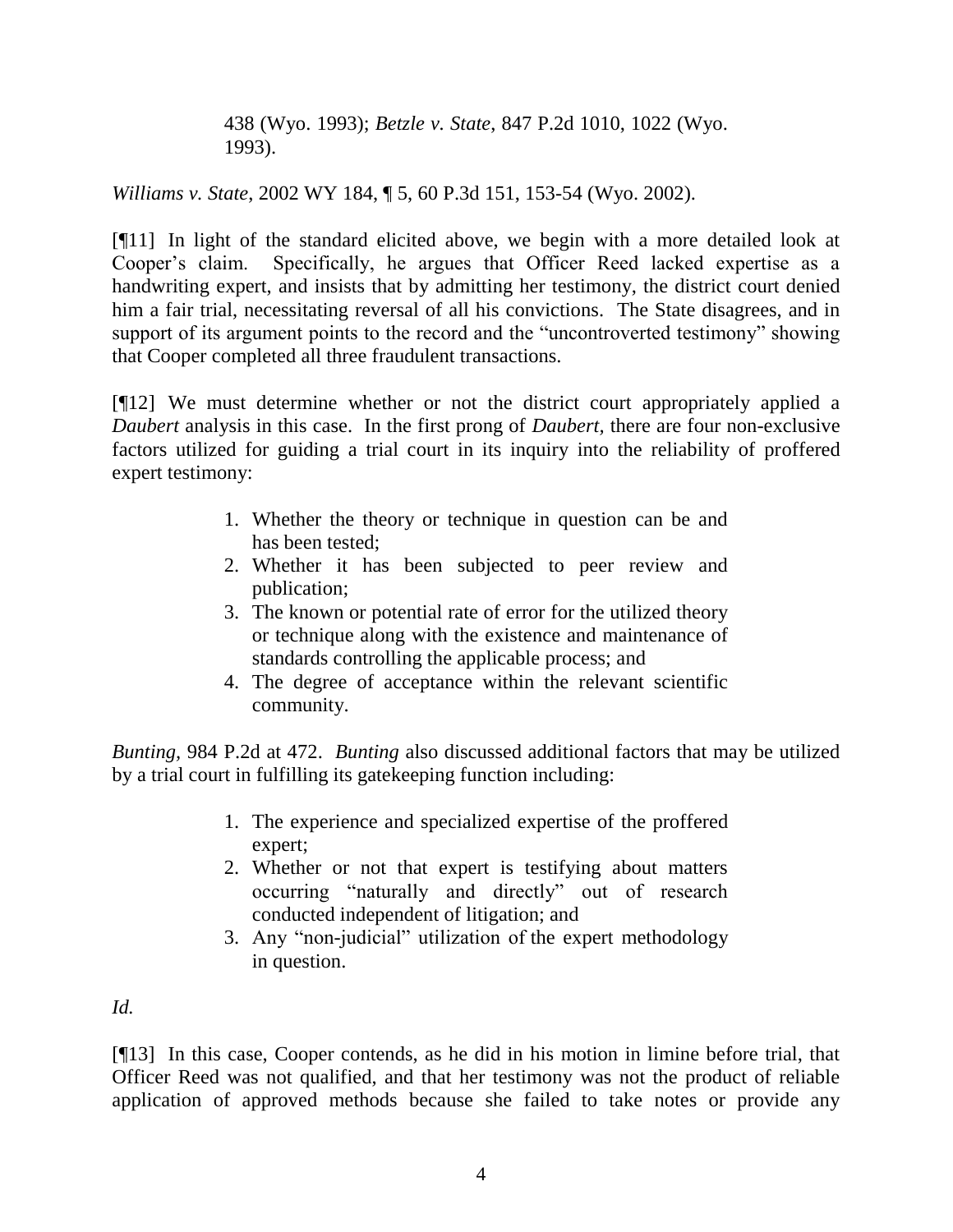438 (Wyo. 1993); *Betzle v. State*, 847 P.2d 1010, 1022 (Wyo. 1993).

*Williams v. State*, 2002 WY 184, ¶ 5, 60 P.3d 151, 153-54 (Wyo. 2002).

[¶11] In light of the standard elicited above, we begin with a more detailed look at Cooper's claim. Specifically, he argues that Officer Reed lacked expertise as a handwriting expert, and insists that by admitting her testimony, the district court denied him a fair trial, necessitating reversal of all his convictions. The State disagrees, and in support of its argument points to the record and the "uncontroverted testimony" showing that Cooper completed all three fraudulent transactions.

[¶12] We must determine whether or not the district court appropriately applied a *Daubert* analysis in this case. In the first prong of *Daubert,* there are four non-exclusive factors utilized for guiding a trial court in its inquiry into the reliability of proffered expert testimony:

- 1. Whether the theory or technique in question can be and has been tested;
- 2. Whether it has been subjected to peer review and publication;
- 3. The known or potential rate of error for the utilized theory or technique along with the existence and maintenance of standards controlling the applicable process; and
- 4. The degree of acceptance within the relevant scientific community.

*Bunting,* 984 P.2d at 472. *Bunting* also discussed additional factors that may be utilized by a trial court in fulfilling its gatekeeping function including:

- 1. The experience and specialized expertise of the proffered expert;
- 2. Whether or not that expert is testifying about matters occurring "naturally and directly" out of research conducted independent of litigation; and
- 3. Any "non-judicial" utilization of the expert methodology in question.

*Id.*

[¶13] In this case, Cooper contends, as he did in his motion in limine before trial, that Officer Reed was not qualified, and that her testimony was not the product of reliable application of approved methods because she failed to take notes or provide any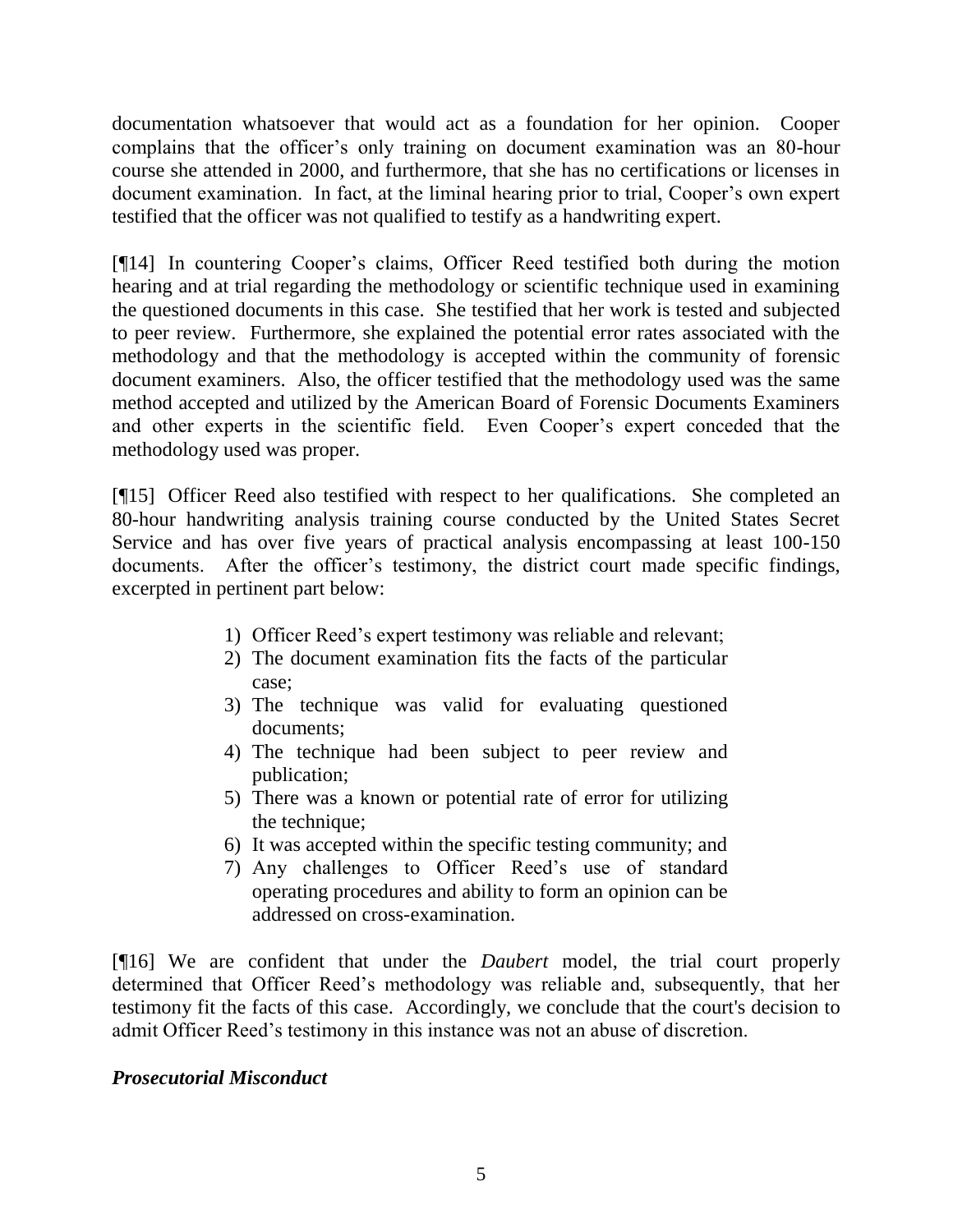documentation whatsoever that would act as a foundation for her opinion. Cooper complains that the officer's only training on document examination was an 80-hour course she attended in 2000, and furthermore, that she has no certifications or licenses in document examination. In fact, at the liminal hearing prior to trial, Cooper's own expert testified that the officer was not qualified to testify as a handwriting expert.

[¶14] In countering Cooper"s claims, Officer Reed testified both during the motion hearing and at trial regarding the methodology or scientific technique used in examining the questioned documents in this case. She testified that her work is tested and subjected to peer review. Furthermore, she explained the potential error rates associated with the methodology and that the methodology is accepted within the community of forensic document examiners. Also, the officer testified that the methodology used was the same method accepted and utilized by the American Board of Forensic Documents Examiners and other experts in the scientific field. Even Cooper"s expert conceded that the methodology used was proper.

[¶15] Officer Reed also testified with respect to her qualifications. She completed an 80-hour handwriting analysis training course conducted by the United States Secret Service and has over five years of practical analysis encompassing at least 100-150 documents. After the officer's testimony, the district court made specific findings, excerpted in pertinent part below:

- 1) Officer Reed"s expert testimony was reliable and relevant;
- 2) The document examination fits the facts of the particular case;
- 3) The technique was valid for evaluating questioned documents;
- 4) The technique had been subject to peer review and publication;
- 5) There was a known or potential rate of error for utilizing the technique;
- 6) It was accepted within the specific testing community; and
- 7) Any challenges to Officer Reed"s use of standard operating procedures and ability to form an opinion can be addressed on cross-examination.

[¶16] We are confident that under the *Daubert* model, the trial court properly determined that Officer Reed"s methodology was reliable and, subsequently, that her testimony fit the facts of this case. Accordingly, we conclude that the court's decision to admit Officer Reed"s testimony in this instance was not an abuse of discretion.

# *Prosecutorial Misconduct*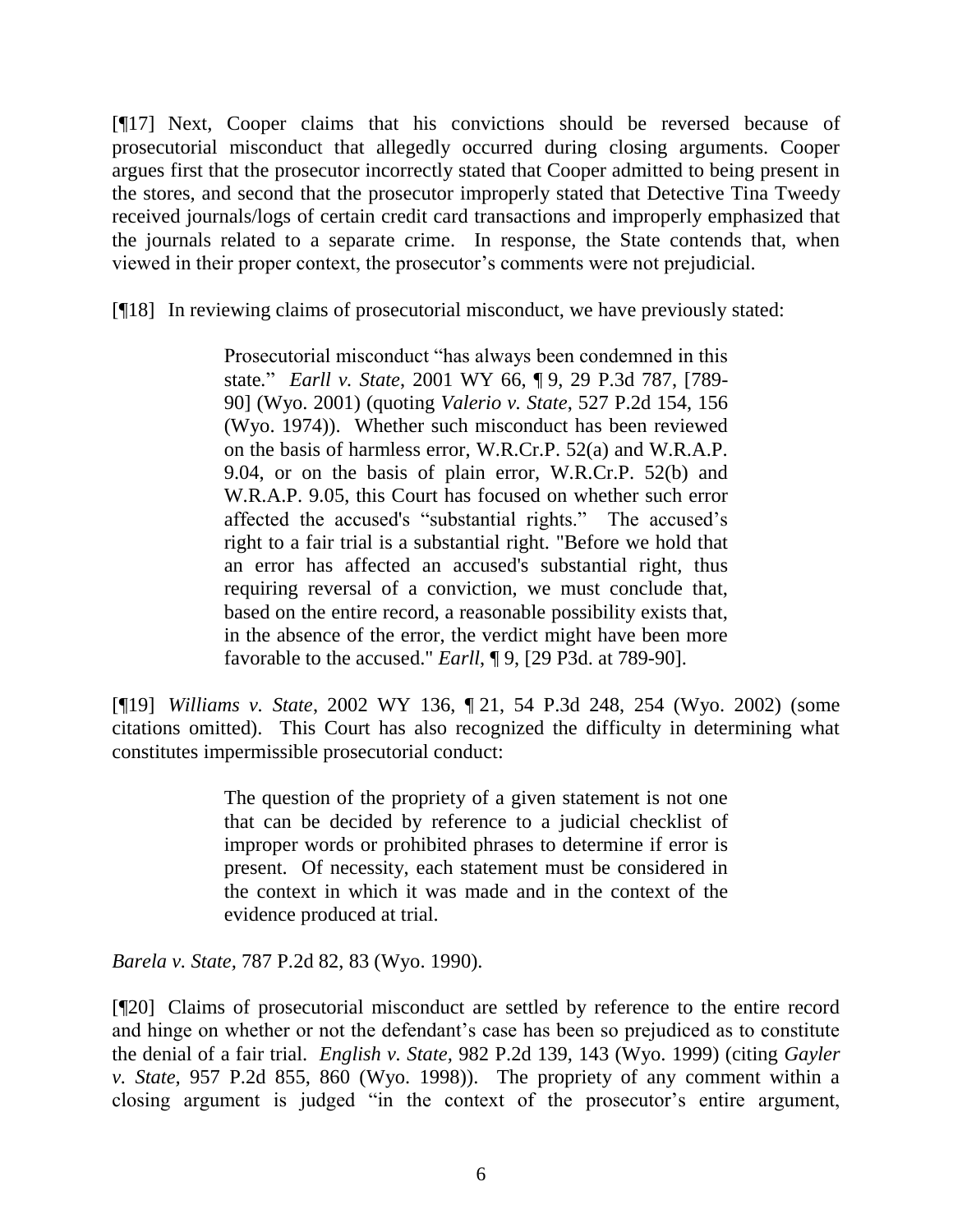[¶17] Next, Cooper claims that his convictions should be reversed because of prosecutorial misconduct that allegedly occurred during closing arguments. Cooper argues first that the prosecutor incorrectly stated that Cooper admitted to being present in the stores, and second that the prosecutor improperly stated that Detective Tina Tweedy received journals/logs of certain credit card transactions and improperly emphasized that the journals related to a separate crime. In response, the State contends that, when viewed in their proper context, the prosecutor"s comments were not prejudicial.

[¶18] In reviewing claims of prosecutorial misconduct, we have previously stated:

Prosecutorial misconduct "has always been condemned in this state*.*" *Earll v. State*, 2001 WY 66, ¶ 9, 29 P.3d 787, [789- 90] (Wyo. 2001) (quoting *Valerio v. State*, 527 P.2d 154, 156 (Wyo. 1974)). Whether such misconduct has been reviewed on the basis of harmless error, W.R.Cr.P. 52(a) and W.R.A.P. 9.04, or on the basis of plain error, W.R.Cr.P. 52(b) and W.R.A.P. 9.05, this Court has focused on whether such error affected the accused's "substantial rights." The accused"s right to a fair trial is a substantial right. "Before we hold that an error has affected an accused's substantial right, thus requiring reversal of a conviction, we must conclude that, based on the entire record, a reasonable possibility exists that, in the absence of the error, the verdict might have been more favorable to the accused." *Earll*, ¶ 9, [29 P3d. at 789-90].

[¶19] *Williams v. State*, 2002 WY 136, ¶ 21, 54 P.3d 248, 254 (Wyo. 2002) (some citations omitted). This Court has also recognized the difficulty in determining what constitutes impermissible prosecutorial conduct:

> The question of the propriety of a given statement is not one that can be decided by reference to a judicial checklist of improper words or prohibited phrases to determine if error is present. Of necessity, each statement must be considered in the context in which it was made and in the context of the evidence produced at trial.

*Barela v. State,* 787 P.2d 82, 83 (Wyo. 1990).

[¶20] Claims of prosecutorial misconduct are settled by reference to the entire record and hinge on whether or not the defendant's case has been so prejudiced as to constitute the denial of a fair trial. *English v. State,* 982 P.2d 139, 143 (Wyo. 1999) (citing *Gayler v. State,* 957 P.2d 855, 860 (Wyo. 1998)). The propriety of any comment within a closing argument is judged "in the context of the prosecutor's entire argument,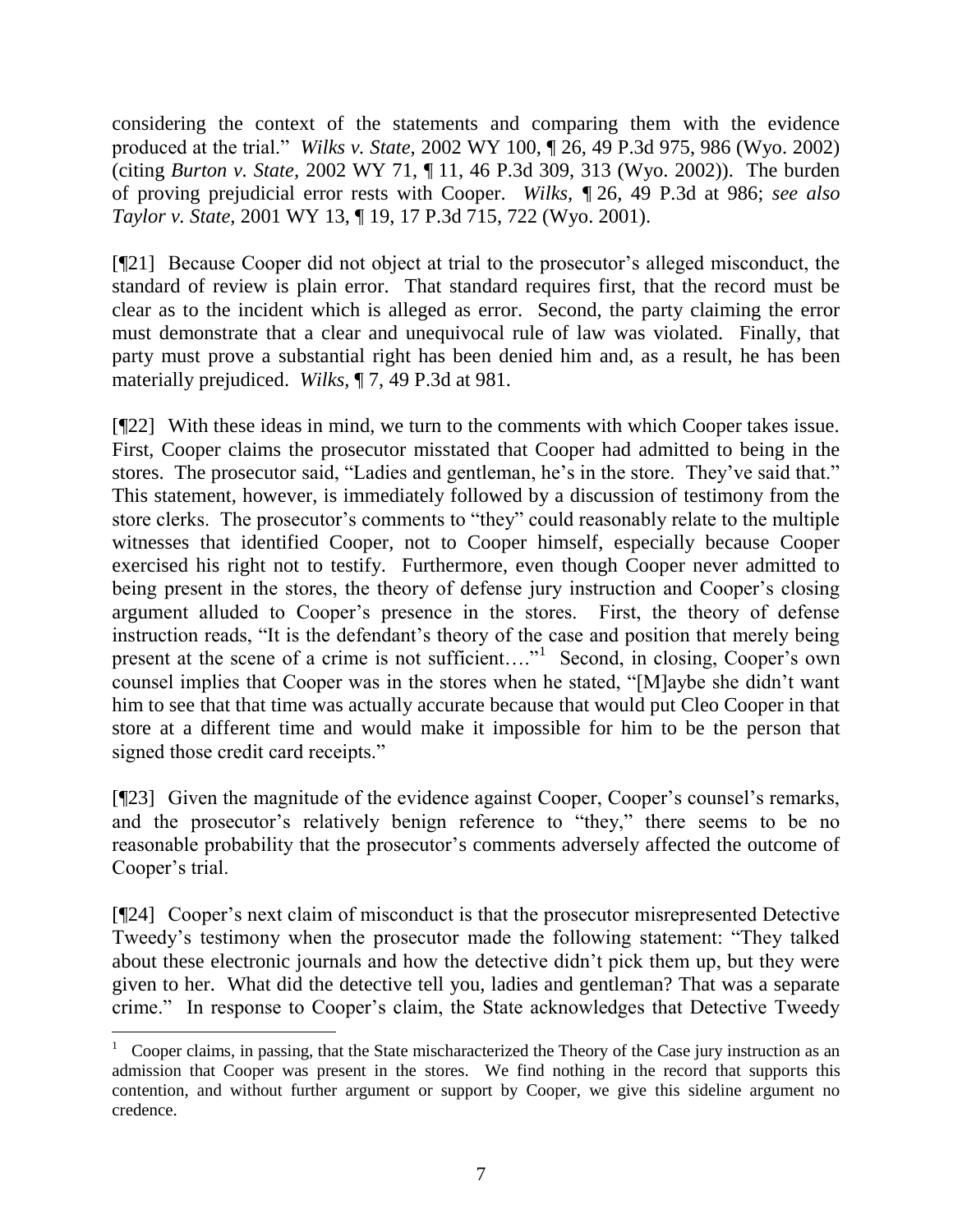considering the context of the statements and comparing them with the evidence produced at the trial." *Wilks v. State,* 2002 WY 100, ¶ 26, 49 P.3d 975, 986 (Wyo. 2002) (citing *Burton v. State,* 2002 WY 71, ¶ 11, 46 P.3d 309, 313 (Wyo. 2002)). The burden of proving prejudicial error rests with Cooper. *Wilks, ¶* 26*,* 49 P.3d at 986; *see also Taylor v. State,* 2001 WY 13, ¶ 19, 17 P.3d 715, 722 (Wyo. 2001).

[¶21] Because Cooper did not object at trial to the prosecutor"s alleged misconduct, the standard of review is plain error. That standard requires first, that the record must be clear as to the incident which is alleged as error. Second, the party claiming the error must demonstrate that a clear and unequivocal rule of law was violated. Finally, that party must prove a substantial right has been denied him and, as a result, he has been materially prejudiced. *Wilks,* ¶ 7, 49 P.3d at 981.

[¶22] With these ideas in mind, we turn to the comments with which Cooper takes issue. First, Cooper claims the prosecutor misstated that Cooper had admitted to being in the stores. The prosecutor said, "Ladies and gentleman, he's in the store. They've said that." This statement, however, is immediately followed by a discussion of testimony from the store clerks. The prosecutor's comments to "they" could reasonably relate to the multiple witnesses that identified Cooper, not to Cooper himself, especially because Cooper exercised his right not to testify. Furthermore, even though Cooper never admitted to being present in the stores, the theory of defense jury instruction and Cooper's closing argument alluded to Cooper"s presence in the stores. First, the theory of defense instruction reads, "It is the defendant"s theory of the case and position that merely being present at the scene of a crime is not sufficient...."<sup>1</sup> Second, in closing, Cooper's own counsel implies that Cooper was in the stores when he stated, "[M]aybe she didn"t want him to see that that time was actually accurate because that would put Cleo Cooper in that store at a different time and would make it impossible for him to be the person that signed those credit card receipts."

[¶23] Given the magnitude of the evidence against Cooper, Cooper's counsel's remarks, and the prosecutor's relatively benign reference to "they," there seems to be no reasonable probability that the prosecutor's comments adversely affected the outcome of Cooper's trial.

[¶24] Cooper's next claim of misconduct is that the prosecutor misrepresented Detective Tweedy"s testimony when the prosecutor made the following statement: "They talked about these electronic journals and how the detective didn"t pick them up, but they were given to her. What did the detective tell you, ladies and gentleman? That was a separate crime." In response to Cooper"s claim, the State acknowledges that Detective Tweedy

<sup>1</sup> Cooper claims, in passing, that the State mischaracterized the Theory of the Case jury instruction as an admission that Cooper was present in the stores. We find nothing in the record that supports this contention, and without further argument or support by Cooper, we give this sideline argument no credence.